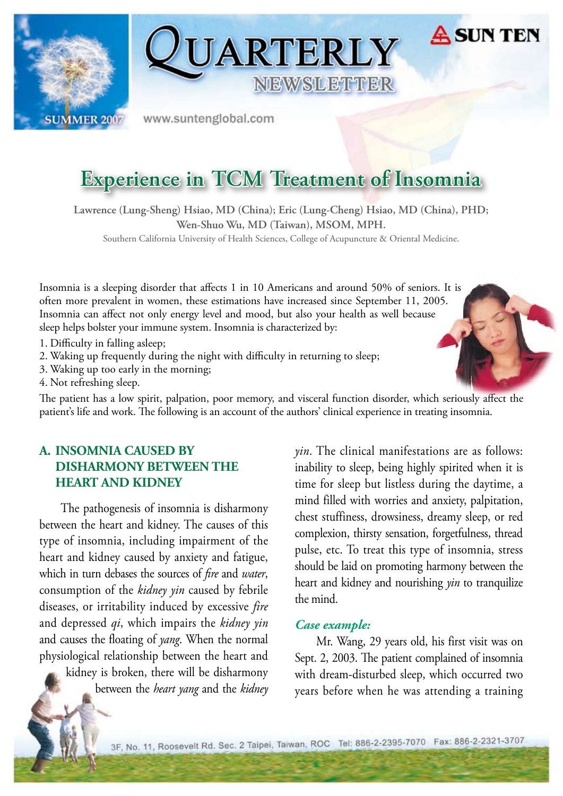



www.suntenglobal.com

## **Experience in TCM Treatment of Insomnia**

**Lawrence (Lung-Sheng) Hsiao, MD (China); Eric (Lung-Cheng) Hsiao, MD (China), PHD; Wen-Shuo Wu, MD (Taiwan), MSOM, MPH.**

Southern California University of Health Sciences, College of Acupuncture & Oriental Medicine.

Insomnia is a sleeping disorder that affects 1 in 10 Americans and around 50% of seniors. It is often more prevalent in women, these estimations have increased since September 11, 2005. Insomnia can affect not only energy level and mood, but also your health as well because sleep helps bolster your immune system. Insomnia is characterized by:

- 1. Difficulty in falling asleep;
- 2. Waking up frequently during the night with difficulty in returning to sleep;
- 3. Waking up too early in the morning;
- 4. Not refreshing sleep.

The patient has a low spirit, palpation, poor memory, and visceral function disorder, which seriously affect the patient's life and work. The following is an account of the authors' clinical experience in treating insomnia.

## **A. INSOMNIA CAUSED BY DISHARMONY BETWEEN THE HEART AND KIDNEY**

The pathogenesis of insomnia is disharmony between the heart and kidney. The causes of this type of insomnia, including impairment of the heart and kidney caused by anxiety and fatigue, which in turn debases the sources of *fire* and *water*, consumption of the *kidney yin* caused by febrile diseases, or irritability induced by excessive *fire* and depressed *qi*, which impairs the *kidney yin* and causes the floating of *yang*. When the normal physiological relationship between the heart and kidney is broken, there will be disharmony between the *heart yang* and the *kidney*  *yin*. The clinical manifestations are as follows: inability to sleep, being highly spirited when it is time for sleep but listless during the daytime, a mind filled with worries and anxiety, palpitation, chest stuffiness, drowsiness, dreamy sleep, or red complexion, thirsty sensation, forgetfulness, thread pulse, etc. To treat this type of insomnia, stress should be laid on promoting harmony between the heart and kidney and nourishing *yin* to tranquilize the mind.

#### *Case example:*

Mr. Wang, 29 years old, his first visit was on Sept. 2, 2003. The patient complained of insomnia with dream-disturbed sleep, which occurred two years before when he was attending a training

3F, No. 11, Roosevelt Rd. Sec. 2 Taipei, Taiwan, ROC Tel: 886-2-2395-7070 Fax: 886-2-2321-3707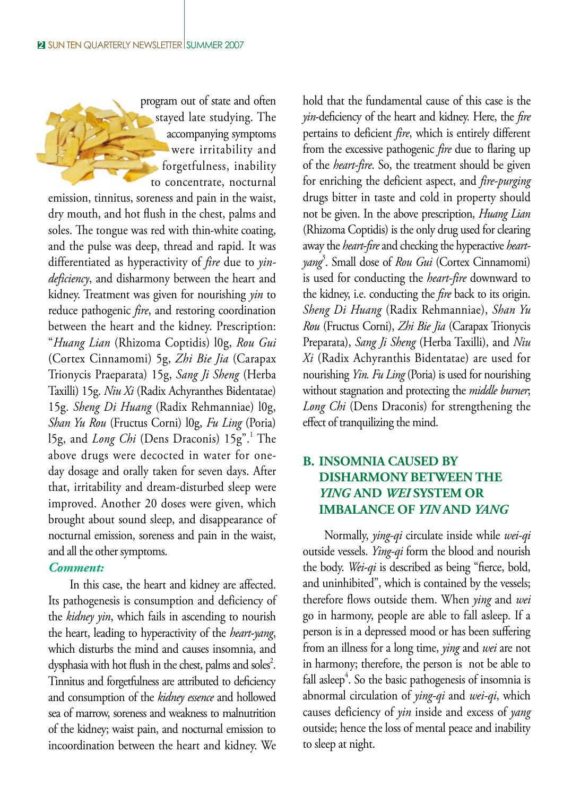program out of state and often stayed late studying. The accompanying symptoms were irritability and forgetfulness, inability to concentrate, nocturnal

emission, tinnitus, soreness and pain in the waist, dry mouth, and hot flush in the chest, palms and soles. The tongue was red with thin-white coating, and the pulse was deep, thread and rapid. It was differentiated as hyperactivity of *fire* due to *yindeficiency*, and disharmony between the heart and kidney. Treatment was given for nourishing *yin* to reduce pathogenic *fire*, and restoring coordination between the heart and the kidney. Prescription: "*Huang Lian* (Rhizoma Coptidis) l0g, *Rou Gui*  (Cortex Cinnamomi) 5g, *Zhi Bie Jia* (Carapax Trionycis Praeparata) 15g, *Sang Ji Sheng* (Herba Taxilli) 15g. *Niu Xi* (Radix Achyranthes Bidentatae) 15g. *Sheng Di Huang* (Radix Rehmanniae) l0g, *Shan Yu Rou* (Fructus Corni) l0g, *Fu Ling* (Poria) 15g, and *Long Chi* (Dens Draconis) 15g".<sup>1</sup> The above drugs were decocted in water for oneday dosage and orally taken for seven days. After that, irritability and dream-disturbed sleep were improved. Another 20 doses were given, which brought about sound sleep, and disappearance of nocturnal emission, soreness and pain in the waist, and all the other symptoms.

#### *Comment:*

In this case, the heart and kidney are affected. Its pathogenesis is consumption and deficiency of the *kidney yin*, which fails in ascending to nourish the heart, leading to hyperactivity of the *heart-yang*, which disturbs the mind and causes insomnia, and dysphasia with hot flush in the chest, palms and soles<sup>2</sup>. Tinnitus and forgetfulness are attributed to deficiency and consumption of the *kidney essence* and hollowed sea of marrow, soreness and weakness to malnutrition of the kidney; waist pain, and nocturnal emission to incoordination between the heart and kidney. We

hold that the fundamental cause of this case is the *yin*-deficiency of the heart and kidney. Here, the *fire* pertains to deficient *fire*, which is entirely different from the excessive pathogenic *fire* due to flaring up of the *heart-fire*. So, the treatment should be given for enriching the deficient aspect, and *fire-purging* drugs bitter in taste and cold in property should not be given. In the above prescription, *Huang Lian* (Rhizoma Coptidis) is the only drug used for clearing away the *heart-fire* and checking the hyperactive *heartyang*<sup>3</sup> . Small dose of *Rou Gui* (Cortex Cinnamomi) is used for conducting the *heart-fire* downward to the kidney, i.e. conducting the *fire* back to its origin. *Sheng Di Huang* (Radix Rehmanniae), *Shan Yu Rou* (Fructus Corni), *Zhi Bie Jia* (Carapax Trionycis Preparata), *Sang Ji Sheng* (Herba Taxilli), and *Niu Xi* (Radix Achyranthis Bidentatae) are used for nourishing *Yin. Fu Ling* (Poria) is used for nourishing without stagnation and protecting the *middle burner*; *Long Chi* (Dens Draconis) for strengthening the effect of tranquilizing the mind.

## **B. INSOMNIA CAUSED BY DISHARMONY BETWEEN THE** *YING* **AND** *WEI* **SYSTEM OR IMBALANCE OF** *YIN* **AND** *YANG*

Normally, *ying-qi* circulate inside while *wei-qi*  outside vessels. *Ying-qi* form the blood and nourish the body. *Wei-qi* is described as being "fierce, bold, and uninhibited", which is contained by the vessels; therefore flows outside them. When *ying* and *wei* go in harmony, people are able to fall asleep. If a person is in a depressed mood or has been suffering from an illness for a long time, *ying* and *wei* are not in harmony; therefore, the person is not be able to fall asleep<sup>4</sup>. So the basic pathogenesis of insomnia is abnormal circulation of *ying-qi* and *wei-qi*, which causes deficiency of *yin* inside and excess of *yang*  outside; hence the loss of mental peace and inability to sleep at night.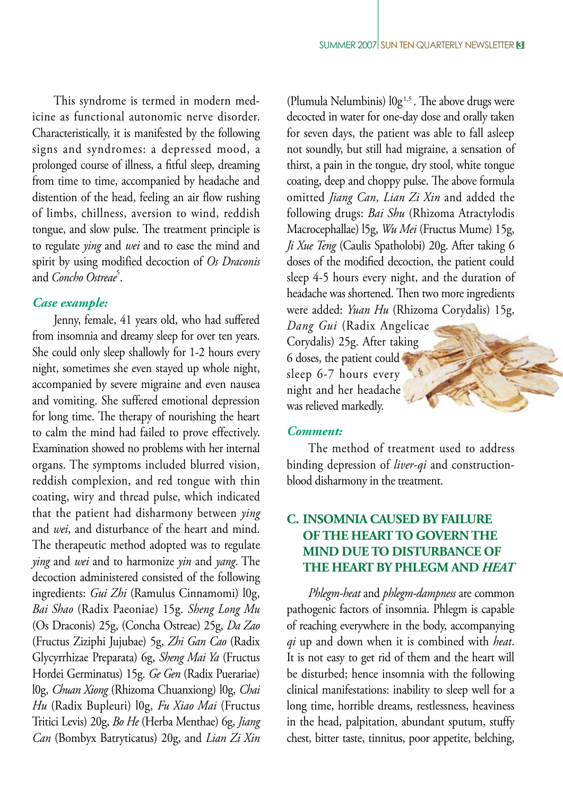This syndrome is termed in modern medicine as functional autonomic nerve disorder. Characteristically, it is manifested by the following signs and syndromes: a depressed mood, a prolonged course of illness, a fitful sleep, dreaming from time to time, accompanied by headache and distention of the head, feeling an air flow rushing of limbs, chillness, aversion to wind, reddish tongue, and slow pulse. The treatment principle is to regulate *ying* and *wei* and to ease the mind and spirit by using modified decoction of *Os Draconis* and *Concho Ostreae*<sup>5</sup>.

### *Case example:*

Jenny, female, 41 years old, who had suffered from insomnia and dreamy sleep for over ten years. She could only sleep shallowly for 1-2 hours every night, sometimes she even stayed up whole night, accompanied by severe migraine and even nausea and vomiting. She suffered emotional depression for long time. The therapy of nourishing the heart to calm the mind had failed to prove effectively. Examination showed no problems with her internal organs. The symptoms included blurred vision, reddish complexion, and red tongue with thin coating, wiry and thread pulse, which indicated that the patient had disharmony between *ying* and *wei*, and disturbance of the heart and mind. The therapeutic method adopted was to regulate *ying* and *wei* and to harmonize *yin* and *yang*. The decoction administered consisted of the following ingredients: *Gui Zhi* (Ramulus Cinnamomi) l0g, *Bai Shao* (Radix Paeoniae) 15g. *Sheng Long Mu*  (Os Draconis) 25g, (Concha Ostreae) 25g, *Da Zao* (Fructus Ziziphi Jujubae) 5g, *Zhi Gan Cao* (Radix Glycyrrhizae Preparata) 6g, *Sheng Mai Ya* (Fructus Hordei Germinatus) 15g. *Ge Gen* (Radix Puerariae) l0g, *Chuan Xiong* (Rhizoma Chuanxiong) l0g, *Chai Hu* (Radix Bupleuri) l0g, *Fu Xiao Mai* (Fructus Tritici Levis) 20g, *Bo He* (Herba Menthae) 6g, *Jiang Can* (Bombyx Batryticatus) 20g, and *Lian Zi Xin* 

(Plumula Nelumbinis)  $log<sup>1,5</sup>$ . The above drugs were decocted in water for one-day dose and orally taken for seven days, the patient was able to fall asleep not soundly, but still had migraine, a sensation of thirst, a pain in the tongue, dry stool, white tongue coating, deep and choppy pulse. The above formula omitted *Jiang Can*, *Lian Zi Xin* and added the following drugs: *Bai Shu* (Rhizoma Atractylodis Macrocephallae) l5g, *Wu Mei* (Fructus Mume) 15g, *Ji Xue Teng* (Caulis Spatholobi) 20g. After taking 6 doses of the modified decoction, the patient could sleep 4-5 hours every night, and the duration of headache was shortened. Then two more ingredients were added: *Yuan Hu* (Rhizoma Corydalis) 15g,

*Dang Gui* (Radix Angelicae Corydalis) 25g. After taking 6 doses, the patient could sleep 6-7 hours every night and her headache was relieved markedly.

#### *Comment:*

The method of treatment used to address binding depression of *liver-qi* and constructionblood disharmony in the treatment.

## **C. INSOMNIA CAUSED BY FAILURE OFTHE HEARTTO GOVERN THE MIND DUETO DISTURBANCE OF THE HEART BY PHLEGM AND** *HEAT*

*Phlegm-heat* and *phlegm-dampness* are common pathogenic factors of insomnia. Phlegm is capable of reaching everywhere in the body, accompanying *qi* up and down when it is combined with *heat*. It is not easy to get rid of them and the heart will be disturbed; hence insomnia with the following clinical manifestations: inability to sleep well for a long time, horrible dreams, restlessness, heaviness in the head, palpitation, abundant sputum, stuffy chest, bitter taste, tinnitus, poor appetite, belching,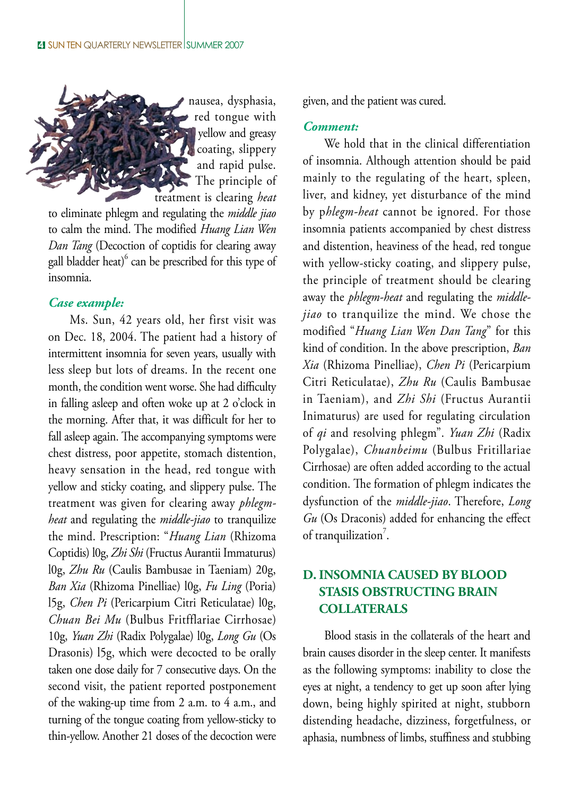

to eliminate phlegm and regulating the *middle jiao*  to calm the mind. The modified *Huang Lian Wen Dan Tang* (Decoction of coptidis for clearing away gall bladder heat) $^6$  can be prescribed for this type of insomnia.

#### *Case example:*

Ms. Sun, 42 years old, her first visit was on Dec. 18, 2004. The patient had a history of intermittent insomnia for seven years, usually with less sleep but lots of dreams. In the recent one month, the condition went worse. She had difficulty in falling asleep and often woke up at 2 o'clock in the morning. After that, it was difficult for her to fall asleep again. The accompanying symptoms were chest distress, poor appetite, stomach distention, heavy sensation in the head, red tongue with yellow and sticky coating, and slippery pulse. The treatment was given for clearing away *phlegmheat* and regulating the *middle-jiao* to tranquilize the mind. Prescription: "*Huang Lian* (Rhizoma Coptidis) l0g, *Zhi Shi* (Fructus Aurantii Immaturus) l0g, *Zhu Ru* (Caulis Bambusae in Taeniam) 20g, *Ban Xia* (Rhizoma Pinelliae) l0g, *Fu Ling* (Poria) l5g, *Chen Pi* (Pericarpium Citri Reticulatae) l0g, *Chuan Bei Mu* (Bulbus Fritfflariae Cirrhosae) 10g, *Yuan Zhi* (Radix Polygalae) l0g, *Long Gu* (Os Drasonis) l5g, which were decocted to be orally taken one dose daily for 7 consecutive days. On the second visit, the patient reported postponement of the waking-up time from 2 a.m. to 4 a.m., and turning of the tongue coating from yellow-sticky to thin-yellow. Another 21 doses of the decoction were given, and the patient was cured.

#### *Comment:*

We hold that in the clinical differentiation of insomnia. Although attention should be paid mainly to the regulating of the heart, spleen, liver, and kidney, yet disturbance of the mind by p*hlegm-heat* cannot be ignored. For those insomnia patients accompanied by chest distress and distention, heaviness of the head, red tongue with yellow-sticky coating, and slippery pulse, the principle of treatment should be clearing away the *phlegm-heat* and regulating the *middlejiao* to tranquilize the mind. We chose the modified "*Huang Lian Wen Dan Tang*" for this kind of condition. In the above prescription, *Ban Xia* (Rhizoma Pinelliae), *Chen Pi* (Pericarpium Citri Reticulatae), *Zhu Ru* (Caulis Bambusae in Taeniam), and *Zhi Shi* (Fructus Aurantii Inimaturus) are used for regulating circulation of *qi* and resolving phlegm". *Yuan Zhi* (Radix Polygalae), *Chuanbeimu* (Bulbus Fritillariae Cirrhosae) are often added according to the actual condition. The formation of phlegm indicates the dysfunction of the *middle-jiao*. Therefore, *Long Gu* (Os Draconis) added for enhancing the effect of tranquilization<sup>7</sup>.

## **D. INSOMNIA CAUSED BY BLOOD STASIS OBSTRUCTING BRAIN COLLATERALS**

Blood stasis in the collaterals of the heart and brain causes disorder in the sleep center. It manifests as the following symptoms: inability to close the eyes at night, a tendency to get up soon after lying down, being highly spirited at night, stubborn distending headache, dizziness, forgetfulness, or aphasia, numbness of limbs, stuffiness and stubbing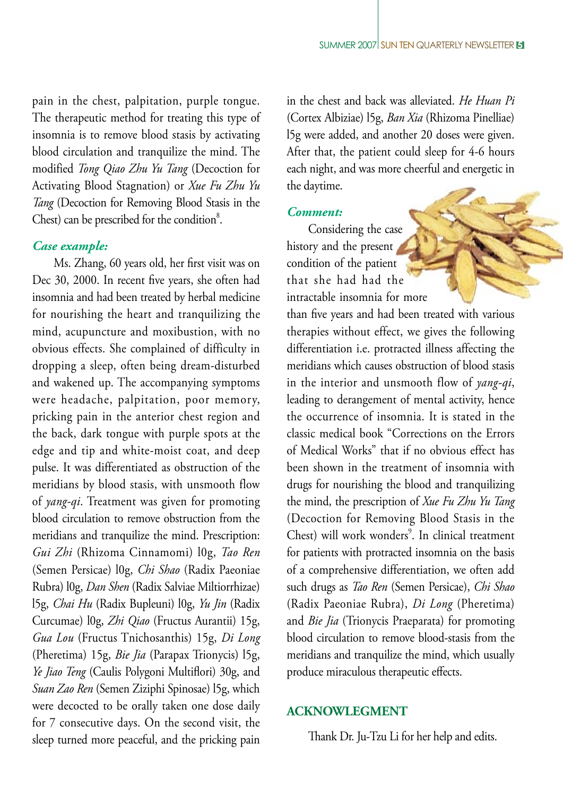pain in the chest, palpitation, purple tongue. The therapeutic method for treating this type of insomnia is to remove blood stasis by activating blood circulation and tranquilize the mind. The modified *Tong Qiao Zhu Yu Tang* (Decoction for Activating Blood Stagnation) or *Xue Fu Zhu Yu Tang* (Decoction for Removing Blood Stasis in the Chest) can be prescribed for the condition $8$ .

#### *Case example:*

Ms. Zhang, 60 years old, her first visit was on Dec 30, 2000. In recent five years, she often had insomnia and had been treated by herbal medicine for nourishing the heart and tranquilizing the mind, acupuncture and moxibustion, with no obvious effects. She complained of difficulty in dropping a sleep, often being dream-disturbed and wakened up. The accompanying symptoms were headache, palpitation, poor memory, pricking pain in the anterior chest region and the back, dark tongue with purple spots at the edge and tip and white-moist coat, and deep pulse. It was differentiated as obstruction of the meridians by blood stasis, with unsmooth flow of *yang-qi*. Treatment was given for promoting blood circulation to remove obstruction from the meridians and tranquilize the mind. Prescription: *Gui Zhi* (Rhizoma Cinnamomi) l0g, *Tao Ren*  (Semen Persicae) l0g, *Chi Shao* (Radix Paeoniae Rubra) l0g, *Dan Shen* (Radix Salviae Miltiorrhizae) l5g, *Chai Hu* (Radix Bupleuni) l0g, *Yu Jin* (Radix Curcumae) l0g, *Zhi Qiao* (Fructus Aurantii) 15g, *Gua Lou* (Fructus Tnichosanthis) 15g, *Di Long* (Pheretima) 15g, *Bie Jia* (Parapax Trionycis) l5g, *Ye Jiao Teng* (Caulis Polygoni Multiflori) 30g, and *Suan Zao Ren* (Semen Ziziphi Spinosae) l5g, which were decocted to be orally taken one dose daily for 7 consecutive days. On the second visit, the sleep turned more peaceful, and the pricking pain

in the chest and back was alleviated. *He Huan Pi*  (Cortex Albiziae) l5g, *Ban Xia* (Rhizoma Pinelliae) l5g were added, and another 20 doses were given. After that, the patient could sleep for 4-6 hours each night, and was more cheerful and energetic in the daytime.

#### *Comment:*

Considering the case history and the present condition of the patient that she had had the intractable insomnia for more

than five years and had been treated with various therapies without effect, we gives the following differentiation i.e. protracted illness affecting the meridians which causes obstruction of blood stasis in the interior and unsmooth flow of *yang-qi*, leading to derangement of mental activity, hence the occurrence of insomnia. It is stated in the classic medical book "Corrections on the Errors of Medical Works" that if no obvious effect has been shown in the treatment of insomnia with drugs for nourishing the blood and tranquilizing the mind, the prescription of *Xue Fu Zhu Yu Tang*  (Decoction for Removing Blood Stasis in the Chest) will work wonders<sup>9</sup>. In clinical treatment for patients with protracted insomnia on the basis of a comprehensive differentiation, we often add such drugs as *Tao Ren* (Semen Persicae), *Chi Shao*  (Radix Paeoniae Rubra), *Di Long* (Pheretima) and *Bie Jia* (Trionycis Praeparata) for promoting blood circulation to remove blood-stasis from the meridians and tranquilize the mind, which usually produce miraculous therapeutic effects.

#### **ACKNOWLEGMENT**

Thank Dr. Ju-Tzu Li for her help and edits.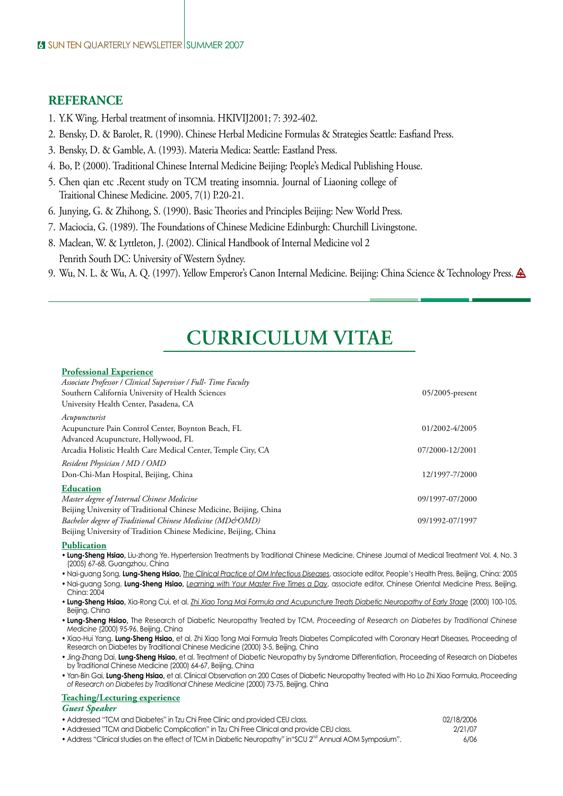#### **REFERANCE**

- 1. Y.K Wing. Herbal treatment of insomnia. HKIVIJ2001; 7: 392-402.
- 2. Bensky, D. & Barolet, R. (1990). Chinese Herbal Medicine Formulas & Strategies Seattle: Easfiand Press.
- 3. Bensky, D. & Gamble, A. (1993). Materia Medica: Seattle: Eastland Press.
- 4. Bo, P. (2000). Traditional Chinese Internal Medicine Beijing: People's Medical Publishing House.
- 5. Chen qian etc .Recent study on TCM treating insomnia. Journal of Liaoning college of Traitional Chinese Medicine. 2005, 7(1) P.20-21.
- 6. Junying, G. & Zhihong, S. (1990). Basic Theories and Principles Beijing: New World Press.
- 7. Maciocia, G. (1989). The Foundations of Chinese Medicine Edinburgh: Churchill Livingstone.
- 8. Maclean, W. & Lyttleton, J. (2002). Clinical Handbook of Internal Medicine vol 2 Penrith South DC: University of Western Sydney.
- 9. Wu, N. L. & Wu, A. Q. (1997). Yellow Emperor's Canon Internal Medicine. Beijing: China Science & Technology Press.

## **CURRICULUM VITAE**

### **Professional Experience**

| Associate Professor / Clinical Supervisor / Full- Time Faculty     |                 |
|--------------------------------------------------------------------|-----------------|
| Southern California University of Health Sciences                  | 05/2005-present |
| University Health Center, Pasadena, CA                             |                 |
| Acupuncturist                                                      |                 |
| Acupuncture Pain Control Center, Boynton Beach, FL                 | 01/2002-4/2005  |
| Advanced Acupuncture, Hollywood, FL                                |                 |
| Arcadia Holistic Health Care Medical Center, Temple City, CA       | 07/2000-12/2001 |
| Resident Physician / MD / OMD                                      |                 |
| Don-Chi-Man Hospital, Beijing, China                               | 12/1997-7/2000  |
| <b>Education</b>                                                   |                 |
| Master degree of Internal Chinese Medicine                         | 09/1997-07/2000 |
| Beijing University of Traditional Chinese Medicine, Beijing, China |                 |
| Bachelor degree of Traditional Chinese Medicine (MD&OMD)           | 09/1992-07/1997 |
| Beijing University of Tradition Chinese Medicine, Beijing, China   |                 |

#### **Publication**

- **Lung-Sheng Hsiao,** Liu-zhong Ye. Hypertension Treatments by Traditional Chinese Medicine, Chinese Journal of Medical Treatment Vol. 4, No. 3 (2005) 67-68, Guangzhou, China
- Nai-guang Song, **Lung-Sheng Hsiao,** *The Clinical Practice of OM Infectious Diseases*, associate editor, People's Health Press, Beijing, China: 2005
- Nai-guang Song, **Lung-Sheng Hsiao,** *Learning with Your Master Five Times a Day*, associate editor, Chinese Oriental Medicine Press, Beijing, China: 2004
- **Lung-Sheng Hsiao,** Xia-Rong Cui, et al. *Zhi Xiao Tong Mai Formula and Acupuncture Treats Diabetic Neuropathy of Early Stage* (2000) 100-105, Beiling, China
- **Lung-Sheng Hsiao,** The Research of Diabetic Neuropathy Treated by TCM, *Proceeding of Research on Diabetes by Traditional Chinese Medicine* (2000) 95-96, Beijing, China
- Xiao-Hui Yang, **Lung-Sheng Hsiao,** et al. Zhi Xiao Tong Mai Formula Treats Diabetes Complicated with Coronary Heart Diseases, Proceeding of Research on Diabetes by Traditional Chinese Medicine (2000) 3-5, Beijing, China
- Jing-Zhang Dai, **Lung-Sheng Hsiao,** et al. Treatment of Diabetic Neuropathy by Syndrome Differentiation, Proceeding of Research on Diabetes by Traditional Chinese Medicine (2000) 64-67, Beijing, China
- Yan-Bin Gai, **Lung-Sheng Hsiao,** et al. Clinical Observation on 200 Cases of Diabetic Neuropathy Treated with Ho Lo Zhi Xiao Formula, *Proceeding of Research on Diabetes by Traditional Chinese Medicine* (2000) 73-75, Beijing, China

#### **Teaching/Lecturing experience**

#### *Guest Speaker*

- Addressed "TCM and Diabetes" in Tzu Chi Free Clinic and provided CEU class.
- Addressed "TCM and Diabetic Complication" in Tzu Chi Free Clinical and provide CEU class.
- Address "Clinical studies on the effect of TCM in Diabetic Neuropathy" in "SCU 2<sup>nd</sup> Annual AOM Symposium".

| 02/18/2006 |
|------------|
| 2/21/07    |
| 6/06       |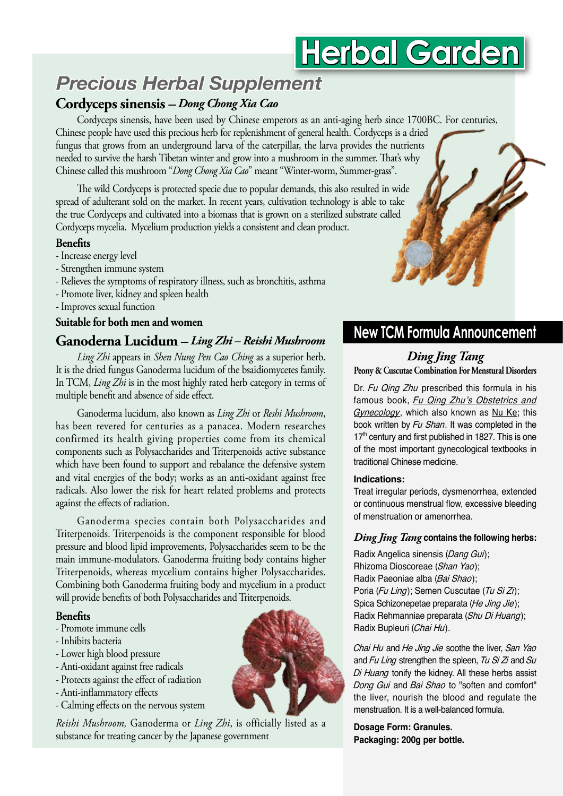# **Herbal Garden**

## *Precious Herbal Supplement*

## **Cordyceps sinensis** *– Dong Chong Xia Cao*

Cordyceps sinensis, have been used by Chinese emperors as an anti-aging herb since 1700BC. For centuries, Chinese people have used this precious herb for replenishment of general health. Cordyceps is a dried fungus that grows from an underground larva of the caterpillar, the larva provides the nutrients needed to survive the harsh Tibetan winter and grow into a mushroom in the summer. That's why Chinese called this mushroom "*Dong Chong Xia Cao*" meant "Winter-worm, Summer-grass".

The wild Cordyceps is protected specie due to popular demands, this also resulted in wide spread of adulterant sold on the market. In recent years, cultivation technology is able to take the true Cordyceps and cultivated into a biomass that is grown on a sterilized substrate called Cordyceps mycelia. Mycelium production yields a consistent and clean product.

#### **Benefits**

- Increase energy level
- Strengthen immune system
- Relieves the symptoms of respiratory illness, such as bronchitis, asthma
- Promote liver, kidney and spleen health
- Improves sexual function

#### **Suitable for both men and women**

## **Ganoderna Lucidum –** *Ling Zhi – Reishi Mushroom*

*Ling Zhi* appears in *Shen Nung Pen Cao Ching* as a superior herb. It is the dried fungus Ganoderma lucidum of the bsaidiomycetes family. In TCM, *Ling Zhi* is in the most highly rated herb category in terms of multiple benefit and absence of side effect.

tungus<br>g Zhi is<br>fit and<br>trend 1<br>ts hea luced 1<br>vered 1<br>as een follower<br>ects of<br>erma<br>is. Trite<br>e-mod<br>s, whe cends, where the Garding and the Gardina<br>e-mod<br>s, where the Gardina<br>ends, where the Gardina<br>terminal s, where the G Ganoderma lucidum, also known as *Ling Zhi* or *Reshi Mushroom*, has been revered for centuries as a panacea. Modern researches confirmed its health giving properties come from its chemical components such as Polysaccharides and Triterpenoids active substance which have been found to support and rebalance the defensive system and vital energies of the body; works as an anti-oxidant against free radicals. Also lower the risk for heart related problems and protects against the effects of radiation.

Ganoderma species contain both Polysaccharides and Triterpenoids. Triterpenoids is the component responsible for blood pressure and blood lipid improvements, Polysaccharides seem to be the main immune-modulators. Ganoderma fruiting body contains higher Triterpenoids, whereas mycelium contains higher Polysaccharides. Combining both Ganoderma fruiting body and mycelium in a product will provide benefits of both Polysaccharides and Triterpenoids.

#### **Benefits**

- Promote immune cells
- Inhibits bacteria
- Lower high blood pressure
- Anti-oxidant against free radicals
- Protects against the effect of radiation
- Anti-inflammatory effects
- Calming effects on the nervous system

#### *Reishi Mushroom,* Ganoderma or *Ling Zhi*, is officially listed as a substance for treating cancer by the Japanese government



## **New TCM Formula Announcement**

## *Ding Jing Tang*

**Peony & Cuscutae Combination For Menstural Disorders**

Dr. Fu Qing Zhu prescribed this formula in his famous book, Fu Qing Zhu's Obstetrics and Gynecology, which also known as Nu Ke; this book written by Fu Shan. It was completed in the  $17<sup>th</sup>$  century and first published in 1827. This is one of the most important gynecological textbooks in traditional Chinese medicine.

#### **Indications:**

Treat irregular periods, dysmenorrhea, extended or continuous menstrual flow, excessive bleeding of menstruation or amenorrhea.

#### *Ding Jing Tang* **contains the following herbs:**

Radix Angelica sinensis (Dang Gui); Rhizoma Dioscoreae (Shan Yao); Radix Paeoniae alba (Bai Shao); Poria (Fu Ling); Semen Cuscutae (Tu Si Zi); Spica Schizonepetae preparata (He Jing Jie); Radix Rehmanniae preparata (Shu Di Huang); Radix Bupleuri (Chai Hu).

Chai Hu and He Jing Jie soothe the liver, San Yao and  $Fu$  Ling strengthen the spleen,  $Tu$  Si Zi and Su Di Huang tonify the kidney. All these herbs assist Dong Gui and Bai Shao to "soften and comfort" the liver, nourish the blood and regulate the menstruation. It is a well-balanced formula.

**Dosage Form: Granules. Packaging: 200g per bottle.**